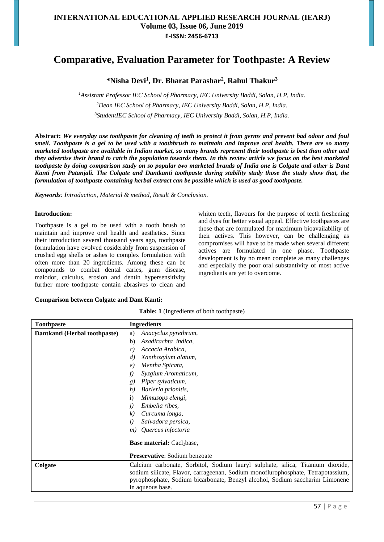# **Comparative, Evaluation Parameter for Toothpaste: A Review**

# **\*Nisha Devi<sup>1</sup> , Dr. Bharat Parashar<sup>2</sup> , Rahul Thakur<sup>3</sup>**

*<sup>1</sup>Assistant Professor IEC School of Pharmacy, IEC University Baddi, Solan, H.P, India. <sup>2</sup>Dean IEC School of Pharmacy, IEC University Baddi, Solan, H.P, India. <sup>3</sup>StudentIEC School of Pharmacy, IEC University Baddi, Solan, H.P, India.*

**Abstract:** *We everyday use toothpaste for cleaning of teeth to protect it from germs and prevent bad odour and foul smell. Toothpaste is a gel to be used with a toothbrush to maintain and improve oral health. There are so many marketed toothpaste are available in Indian market, so many brands represent their toothpaste is best than other and they advertise their brand to catch the population towards them. In this review article we focus on the best marketed toothpaste by doing comparison study on so popular two marketed brands of India one is Colgate and other is Dant Kanti from Patanjali. The Colgate and Dantkanti toothpaste during stability study those the study show that, the formulation of toothpaste containing herbal extract can be possible which is used as good toothpaste.*

*Keywords: Introduction, Material & method, Result & Conclusion.*

### **Introduction:**

Toothpaste is a gel to be used with a tooth brush to maintain and improve oral health and aesthetics. Since their introduction several thousand years ago, toothpaste formulation have evolved cosiderably from suspension of crushed egg shells or ashes to complex formulation with often more than 20 ingredients. Among these can be compounds to combat dental caries, gum disease, malodor, calculus, erosion and dentin hypersensitivity further more toothpaste contain abrasives to clean and whiten teeth, flavours for the purpose of teeth freshening and dyes for better visual appeal. Effective toothpastes are those that are formulated for maximum bioavailability of their actives. This however, can be challenging as compromises will have to be made when several different actives are formulated in one phase. Toothpaste development is by no mean complete as many challenges and especially the poor oral substantivity of most active ingredients are yet to overcome.

#### **Comparison between Colgate and Dant Kanti:**

|  | Table: 1 (Ingredients of both toothpaste) |  |  |
|--|-------------------------------------------|--|--|
|--|-------------------------------------------|--|--|

| <b>Toothpaste</b>             | <b>Ingredients</b>                                                                                                                                                                                                                                                     |  |
|-------------------------------|------------------------------------------------------------------------------------------------------------------------------------------------------------------------------------------------------------------------------------------------------------------------|--|
| Dantkanti (Herbal toothpaste) | Anacyclus pyrethrum,<br>a)                                                                                                                                                                                                                                             |  |
|                               | Azadirachta indica,<br>b)                                                                                                                                                                                                                                              |  |
|                               | Accacia Arabica,<br>$\mathcal{C}$ )                                                                                                                                                                                                                                    |  |
|                               | Xanthoxylum alatum,<br>d)                                                                                                                                                                                                                                              |  |
|                               | Mentha Spicata,<br>$\epsilon$                                                                                                                                                                                                                                          |  |
|                               | Syzgium Aromaticum,<br>f)                                                                                                                                                                                                                                              |  |
|                               | Piper sylvaticum,<br>g)                                                                                                                                                                                                                                                |  |
|                               | Barleria prionitis,<br>h)                                                                                                                                                                                                                                              |  |
|                               | Mimusops elengi,<br>$\mathbf{i}$                                                                                                                                                                                                                                       |  |
|                               | Embelia ribes.<br>j)                                                                                                                                                                                                                                                   |  |
|                               | Curcuma longa,<br>k)                                                                                                                                                                                                                                                   |  |
|                               | Salvadora persica,<br>l)                                                                                                                                                                                                                                               |  |
|                               | Quercus infectoria<br>m)                                                                                                                                                                                                                                               |  |
|                               | <b>Base material:</b> Cacl <sub>2</sub> base,                                                                                                                                                                                                                          |  |
|                               | <b>Preservative:</b> Sodium benzoate                                                                                                                                                                                                                                   |  |
| Colgate                       | Calcium carbonate, Sorbitol, Sodium lauryl sulphate, silica, Titanium dioxide,<br>sodium silicate, Flavor, carrageenan, Sodium monoflurophosphate, Tetrapotassium,<br>pyrophosphate, Sodium bicarbonate, Benzyl alcohol, Sodium saccharim Limonene<br>in aqueous base. |  |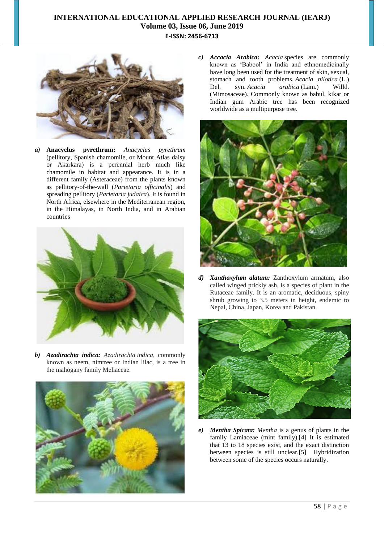

*a)* **Anacyclus pyrethrum:** *Anacyclus pyrethrum* (pellitory, Spanish chamomile, or Mount Atlas daisy or Akarkara) is a perennial herb much like chamomile in habitat and appearance. It is in a different family (Asteraceae) from the plants known as pellitory-of-the-wall (*Parietaria officinalis*) and spreading pellitory (*Parietaria judaica*). It is found in North Africa, elsewhere in the Mediterranean region, in the Himalayas, in North India, and in Arabian countries



*b) Azadirachta indica: Azadirachta indica*, commonly known as neem, nimtree or Indian lilac, is a tree in the mahogany family Meliaceae.



*c) Accacia Arabica: Acacia* species are commonly known as 'Babool' in India and ethnomedicinally have long been used for the treatment of skin, sexual, stomach and tooth problems. *Acacia nilotica* (L.) Del. syn. *Acacia arabica* (Lam.) Willd. (Mimosaceae). Commonly known as babul, kikar or Indian gum Arabic tree has been recognized worldwide as a multipurpose tree.



*d) Xanthoxylum alatum:* Zanthoxylum armatum, also called winged prickly ash, is a species of plant in the Rutaceae family. It is an aromatic, deciduous, spiny shrub growing to 3.5 meters in height, endemic to Nepal, China, Japan, Korea and Pakistan.



*e) Mentha Spicata: Mentha* is a genus of plants in the family Lamiaceae (mint family).[4] It is estimated that 13 to 18 species exist, and the exact distinction between species is still unclear.[5] Hybridization between some of the species occurs naturally.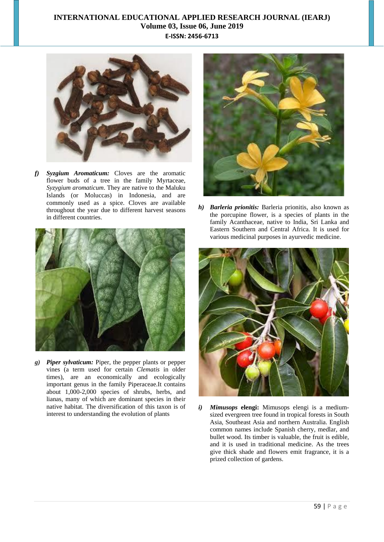

*f) Syzgium Aromaticum:* Cloves are the aromatic flower buds of a tree in the family Myrtaceae, *Syzygium aromaticum*. They are native to the Maluku Islands (or Moluccas) in Indonesia, and are commonly used as a spice. Cloves are available throughout the year due to different harvest seasons in different countries.



*g) Piper sylvaticum:* Piper, the pepper plants or pepper vines (a term used for certain *Clematis* in older times), are an economically and ecologically important genus in the family Piperaceae.It contains about 1,000-2,000 species of shrubs, herbs, and lianas, many of which are dominant species in their native habitat. The diversification of this taxon is of interest to understanding the evolution of plants



*h) Barleria prionitis:* Barleria prionitis, also known as the porcupine flower, is a species of plants in the family Acanthaceae, native to India, Sri Lanka and Eastern Southern and Central Africa. It is used for various medicinal purposes in ayurvedic medicine.



*i) Mimusops* **elengi:** Mimusops elengi is a mediumsized evergreen tree found in tropical forests in South Asia, Southeast Asia and northern Australia. English common names include Spanish cherry, medlar, and bullet wood. Its timber is valuable, the fruit is edible, and it is used in traditional medicine. As the trees give thick shade and flowers emit fragrance, it is a prized collection of gardens.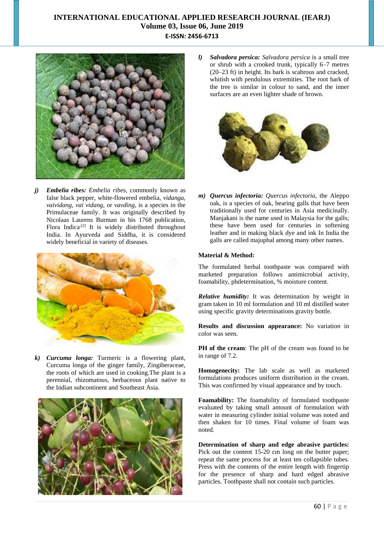

*j) Embelia ribes: Embelia ribes*, commonly known as false black pepper, white-flowered embelia, *vidanga, vaividang, vai vidang*, or *vavding*, is a species in the Primulaceae family. It was originally described by Nicolaas Laurens Burman in his 1768 publication, Flora Indica<sup>[2]</sup> It is widely distributed throughout India. In Ayurveda and Siddha, it is considered widely beneficial in variety of diseases.



*k) Curcuma longa:* Turmeric is a flowering plant, Curcuma longa of the ginger family, Zingiberaceae, the roots of which are used in cooking.The plant is a perennial, rhizomatous, herbaceous plant native to the Indian subcontinent and Southeast Asia.



*l) Salvadora persica: Salvadora persica* is a small tree or shrub with a crooked trunk, typically 6–7 metres (20–23 ft) in height. Its bark is scabrous and cracked, whitish with pendulous extremities. The root bark of the tree is similar in colour to sand, and the inner surfaces are an even lighter shade of brown.



*m) Quercus infectoria: Quercus infectoria*, the Aleppo oak, is a species of oak, bearing galls that have been traditionally used for centuries in Asia medicinally. Manjakani is the name used in Malaysia for the galls; these have been used for centuries in softening leather and in making black dye and ink In India the galls are called majuphal among many other names.

### **Material & Method:**

The formulated herbal toothpaste was compared with marketed preparation follows antimicrobial activity, foamability, phdetermination, % moisture content.

*Relative humidity:* It was determination by weight in gram taken in 10 ml formulation and 10 ml distilled water using specific gravity determinations gravity bottle.

**Results and discussion appearance:** No variation in color was seen.

**PH of the cream**: The pH of the cream was found to be in range of 7.2.

**Homogenecity:** The lab scale as well as marketed formulations produces uniform distribution in the cream. This was confirmed by visual appearance and by touch.

**Foamability:** The foamability of formulated toothpaste evaluated by taking small amount of formulation with water in measuring cylinder initial volume was noted and then shaken for 10 times. Final volume of foam was noted.

**Determination of sharp and edge abrasive particles:** Pick out the content 15-20 cm long on the butter paper; repeat the same process for at least ten collapsible tubes. Press with the contents of the entire length with fingertip for the presence of sharp and hard edged abrasive particles. Toothpaste shall not contain such particles.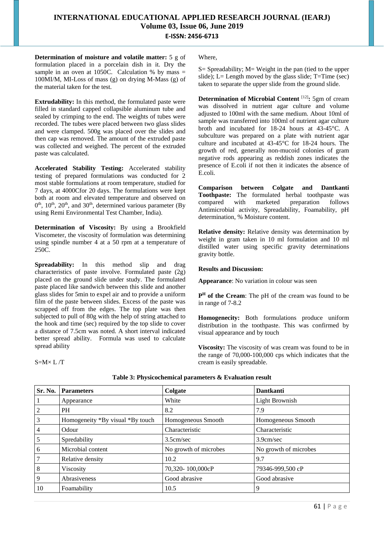**Determination of moisture and volatile matter:** 5 g of formulation placed in a porcelain dish in it. Dry the sample in an oven at 1050C. Calculation % by mass  $=$ 100MI/M, MI-Loss of mass (g) on drying M-Mass (g) of the material taken for the test.

**Extrudability:** In this method, the formulated paste were filled in standard capped collapsible aluminum tube and sealed by crimping to the end. The weights of tubes were recorded. The tubes were placed between two glass slides and were clamped. 500g was placed over the slides and then cap was removed. The amount of the extruded paste was collected and weighed. The percent of the extruded paste was calculated.

**Accelerated Stability Testing:** Accelerated stability testing of prepared formulations was conducted for 2 most stable formulations at room temperature, studied for 7 days, at 4000Cfor 20 days. The formulations were kept both at room and elevated temperature and observed on  $0<sup>th</sup>$ ,  $10<sup>th</sup>$ ,  $20<sup>th</sup>$ , and  $30<sup>th</sup>$ , determined various parameter (By using Remi Environmental Test Chamber, India).

**Determination of Viscosity:** By using a Brookfield Viscometer, the viscosity of formulation was determining using spindle number 4 at a 50 rpm at a temperature of 250C.

**Spreadability:** In this method slip and drag characteristics of paste involve. Formulated paste (2g) placed on the ground slide under study. The formulated paste placed like sandwich between this slide and another glass slides for 5min to expel air and to provide a uniform film of the paste between slides. Excess of the paste was scrapped off from the edges. The top plate was then subjected to pull of 80g with the help of string attached to the hook and time (sec) required by the top slide to cover a distance of 7.5cm was noted. A short interval indicated better spread ability. Formula was used to calculate spread ability

 $S=M\times L/T$ 

Where,

 $S=$  Spreadability;  $M=$  Weight in the pan (tied to the upper slide); L= Length moved by the glass slide; T=Time (sec) taken to separate the upper slide from the ground slide.

**Determination of Microbial Content** [12]**:** 5gm of cream was dissolved in nutrient agar culture and volume adjusted to 100ml with the same medium. About 10ml of sample was transferred into 100ml of nutrient agar culture broth and incubated for 18-24 hours at 43-45°C. A subculture was prepared on a plate with nutrient agar culture and incubated at 43-45°C for 18-24 hours. The growth of red, generally non-mucoid colonies of gram negative rods appearing as reddish zones indicates the presence of E.coli if not then it indicates the absence of E.coli.

**Comparison between Colgate and Dantkanti Toothpaste:** The formulated herbal toothpaste was compared with marketed preparation follows Antimicrobial activity, Spreadability, Foamability, pH determination, % Moisture content.

**Relative density:** Relative density was determination by weight in gram taken in 10 ml formulation and 10 ml distilled water using specific gravity determinations gravity bottle.

### **Results and Discussion:**

**Appearance**: No variation in colour was seen

**P <sup>H</sup> of the Cream**: The pH of the cream was found to be in range of 7-8.2

**Homogenecity:** Both formulations produce uniform distribution in the toothpaste. This was confirmed by visual appearance and by touch

**Viscosity:** The viscosity of was cream was found to be in the range of 70,000-100,000 cps which indicates that the cream is easily spreadable.

| Sr. No.        | <b>Parameters</b>                | Colgate               | <b>Dantkanti</b>      |
|----------------|----------------------------------|-----------------------|-----------------------|
|                | Appearance                       | White                 | <b>Light Brownish</b> |
|                | PH                               | 8.2                   | 7.9                   |
| 3              | Homogeneity *By visual *By touch | Homogeneous Smooth    | Homogeneous Smooth    |
| $\overline{4}$ | Odour                            | Characteristic        | Characteristic        |
| 5              | Spredability                     | 3.5cm/sec             | 3.9cm/sec             |
| 6              | Microbial content                | No growth of microbes | No growth of microbes |
|                | Relative density                 | 10.2                  | 9.7                   |
| 8              | Viscosity                        | 70,320-100,000cP      | 79346-999,500 cP      |
| 9              | Abrasiveness                     | Good abrasive         | Good abrasive         |
| 10             | Foamability                      | 10.5                  | Q                     |

### **Table 3: Physicochemical parameters & Evaluation result**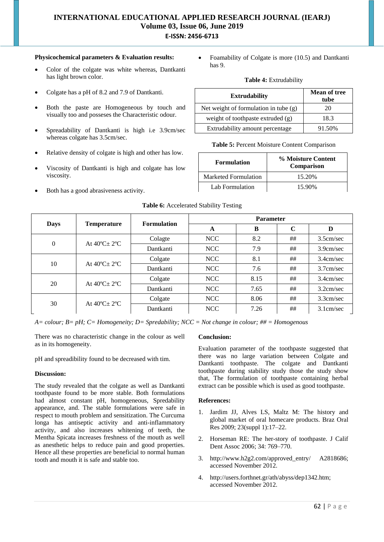### **Physicochemical parameters & Evaluation results:**

- Color of the colgate was white whereas, Dantkanti has light brown color.
- Colgate has a pH of 8.2 and 7.9 of Dantkanti.
- Both the paste are Homogeneous by touch and visually too and posseses the Characteristic odour.
- Spreadability of Dantkanti is high i.e 3.9cm/sec whereas colgate has 3.5cm/sec.
- Relative density of colgate is high and other has low.
- Viscosity of Dantkanti is high and colgate has low viscosity.
- Both has a good abrasiveness activity.

 Foamability of Colgate is more (10.5) and Dantkanti has 9.

### **Table 4:** Extrudability

| <b>Extrudability</b>                    | <b>Mean of tree</b><br>tube |  |
|-----------------------------------------|-----------------------------|--|
| Net weight of formulation in tube $(g)$ | 20                          |  |
| weight of toothpaste extruded (g)       | 18.3                        |  |
| Extrudability amount percentage         | 91.50%                      |  |

### **Table 5:** Percent Moisture Content Comparison

| <b>Formulation</b>          | % Moisture Content<br>Comparison |  |  |
|-----------------------------|----------------------------------|--|--|
| <b>Marketed Formulation</b> | 15.20%                           |  |  |
| Lab Formulation             | 15.90%                           |  |  |

| <b>Days</b> | <b>Temperature</b>                | <b>Formulation</b> | <b>Parameter</b> |      |             |              |
|-------------|-----------------------------------|--------------------|------------------|------|-------------|--------------|
|             |                                   |                    | A                | B    | $\mathbf C$ | D            |
| $\theta$    | At $40^{\circ}$ C + $2^{\circ}$ C | Colagte            | <b>NCC</b>       | 8.2  | ##          | 3.5cm/sec    |
|             |                                   | Dantkanti          | <b>NCC</b>       | 7.9  | ##          | 3.9cm/sec    |
| 10          | At $40^{\circ}$ C + $2^{\circ}$ C | Colgate            | <b>NCC</b>       | 8.1  | ##          | 3.4cm/sec    |
|             |                                   | Dantkanti          | NCC              | 7.6  | ##          | $3.7$ cm/sec |
| 20          | At $40^{\circ}$ C + $2^{\circ}$ C | Colgate            | <b>NCC</b>       | 8.15 | ##          | 3.4cm/sec    |
|             |                                   | Dantkanti          | NCC              | 7.65 | ##          | 3.2cm/sec    |
| 30          | At $40^{\circ}$ C + $2^{\circ}$ C | Colgate            | <b>NCC</b>       | 8.06 | ##          | 3.3cm/sec    |
|             |                                   | Dantkanti          | <b>NCC</b>       | 7.26 | ##          | 3.1cm/sec    |

### **Table 6:** Accelerated Stability Testing

*A= colour; B= pH; C= Homogeneity; D= Spredability; NCC = Not change in colour; ## = Homogenous*

There was no characteristic change in the colour as well as in its homogeneity.

pH and spreadibility found to be decreased with tim.

### **Discussion:**

The study revealed that the colgate as well as Dantkanti toothpaste found to be more stable. Both formulations had almost constant pH, homogeneous, Spredability appearance, and. The stable formulations were safe in respect to mouth problem and sensitization. The Curcuma longa has antiseptic activity and anti-inflammatory activity, and also increases whitening of teeth, the Mentha Spicata increases freshness of the mouth as well as anesthetic helps to reduce pain and good properties. Hence all these properties are beneficial to normal human tooth and mouth it is safe and stable too.

#### **Conclusion:**

Evaluation parameter of the toothpaste suggested that there was no large variation between Colgate and Dantkanti toothpaste. The colgate and Dantkanti toothpaste during stability study those the study show that, The formulation of toothpaste containing herbal extract can be possible which is used as good toothpaste.

#### **References:**

- 1. Jardim JJ, Alves LS, Maltz M: The history and global market of oral homecare products. Braz Oral Res 2009; 23(suppl 1):17–22.
- 2. Horseman RE: The her-story of toothpaste. J Calif Dent Assoc 2006; 34: 769–770.
- 3. http://www.h2g2.com/approved\_entry/ A2818686; accessed November 2012.
- 4. http://users.forthnet.gr/ath/abyss/dep1342.htm; accessed November 2012.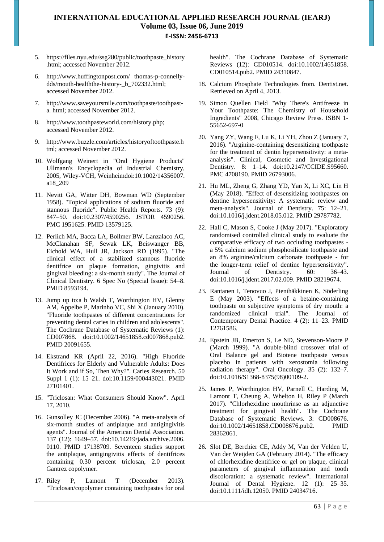- 5. https://files.nyu.edu/ssg280/public/toothpaste\_history .html; accessed November 2012.
- 6. http://www.huffingtonpost.com/ thomas-p-connellydds/mouth-healththe-history-\_b\_702332.html; accessed November 2012.
- 7. http://www.saveyoursmile.com/toothpaste/toothpasta. html; accessed November 2012.
- 8. http://www.toothpasteworld.com/history.php; accessed November 2012.
- 9. http://www.buzzle.com/articles/historyoftoothpaste.h tml; accessed November 2012.
- 10. Wolfgang Weinert in "Oral Hygiene Products" Ullmann's Encyclopedia of Industrial Chemistry, 2005, Wiley-VCH, Weinheimdoi:10.1002/14356007. a18\_209
- 11. Nevitt GA, Witter DH, Bowman WD (September 1958). "Topical applications of sodium fluoride and stannous fluoride". Public Health Reports. 73 (9): 847–50. doi:10.2307/4590256. JSTOR 4590256. PMC 1951625. PMID 13579125.
- 12. Perlich MA, Bacca LA, Bollmer BW, Lanzalaco AC, McClanahan SF, Sewak LK, Beiswanger BB, Eichold WA, Hull JR, Jackson RD (1995). "The clinical effect of a stabilized stannous fluoride dentifrice on plaque formation, gingivitis and gingival bleeding: a six-month study". The Journal of Clinical Dentistry. 6 Spec No (Special Issue): 54–8. PMID 8593194.
- 13. Jump up to:a b Walsh T, Worthington HV, Glenny AM, Appelbe P, Marinho VC, Shi X (January 2010). "Fluoride toothpastes of different concentrations for preventing dental caries in children and adolescents". The Cochrane Database of Systematic Reviews (1): CD007868. doi:10.1002/14651858.cd007868.pub2. PMID 20091655.
- 14. Ekstrand KR (April 22, 2016). "High Fluoride Dentifrices for Elderly and Vulnerable Adults: Does It Work and if So, Then Why?". Caries Research. 50 Suppl 1 (1): 15–21. doi:10.1159/000443021. PMID 27101401.
- 15. "Triclosan: What Consumers Should Know". April 17, 2010.
- 16. Gunsolley JC (December 2006). "A meta-analysis of six-month studies of antiplaque and antigingivitis agents". Journal of the American Dental Association. 137 (12): 1649–57. doi:10.14219/jada.archive.2006. 0110. PMID 17138709. Seventeen studies support the antiplaque, antigingivitis effects of dentifrices containing 0.30 percent triclosan, 2.0 percent Gantrez copolymer.
- 17. Riley P, Lamont T (December 2013). "Triclosan/copolymer containing toothpastes for oral

health". The Cochrane Database of Systematic Reviews (12): CD010514. doi:10.1002/14651858. CD010514.pub2. PMID 24310847.

- 18. Calcium Phosphate Technologies from. Dentist.net. Retrieved on April 4, 2013.
- 19. Simon Quellen Field "Why There's Antifreeze in Your Toothpaste: The Chemistry of Household Ingredients" 2008, Chicago Review Press. ISBN 1- 55652-697-0
- 20. Yang ZY, Wang F, Lu K, Li YH, Zhou Z (January 7, 2016). "Arginine-containing desensitizing toothpaste for the treatment of dentin hypersensitivity: a metaanalysis". Clinical, Cosmetic and Investigational Dentistry. 8: 1–14. doi:10.2147/CCIDE.S95660. PMC 4708190. PMID 26793006.
- 21. Hu ML, Zheng G, Zhang YD, Yan X, Li XC, Lin H (May 2018). "Effect of desensitizing toothpastes on dentine hypersensitivity: A systematic review and meta-analysis". Journal of Dentistry. 75: 12–21. doi:10.1016/j.jdent.2018.05.012. PMID 29787782.
- 22. Hall C, Mason S, Cooke J (May 2017). "Exploratory randomised controlled clinical study to evaluate the comparative efficacy of two occluding toothpastes a 5% calcium sodium phosphosilicate toothpaste and an 8% arginine/calcium carbonate toothpaste - for the longer-term relief of dentine hypersensitivity". Journal of Dentistry. 60: 36–43. doi:10.1016/j.jdent.2017.02.009. PMID 28219674.
- 23. Rantanen I, Tenovuo J, Pienihäkkinen K, Söderling E (May 2003). "Effects of a betaine-containing toothpaste on subjective symptoms of dry mouth: a randomized clinical trial". The Journal of Contemporary Dental Practice. 4 (2): 11–23. PMID 12761586.
- 24. Epstein JB, Emerton S, Le ND, Stevenson-Moore P (March 1999). "A double-blind crossover trial of Oral Balance gel and Biotene toothpaste versus placebo in patients with xerostomia following radiation therapy". Oral Oncology. 35 (2): 132–7. doi:10.1016/S1368-8375(98)00109-2.
- 25. James P, Worthington HV, Parnell C, Harding M, Lamont T, Cheung A, Whelton H, Riley P (March 2017). "Chlorhexidine mouthrinse as an adjunctive treatment for gingival health". The Cochrane Database of Systematic Reviews. 3: CD008676. doi:10.1002/14651858.CD008676.pub2. PMID 28362061.
- 26. Slot DE, Berchier CE, Addy M, Van der Velden U, Van der Weijden GA (February 2014). "The efficacy of chlorhexidine dentifrice or gel on plaque, clinical parameters of gingival inflammation and tooth discoloration: a systematic review". International Journal of Dental Hygiene. 12 (1): 25–35. doi:10.1111/idh.12050. PMID 24034716.